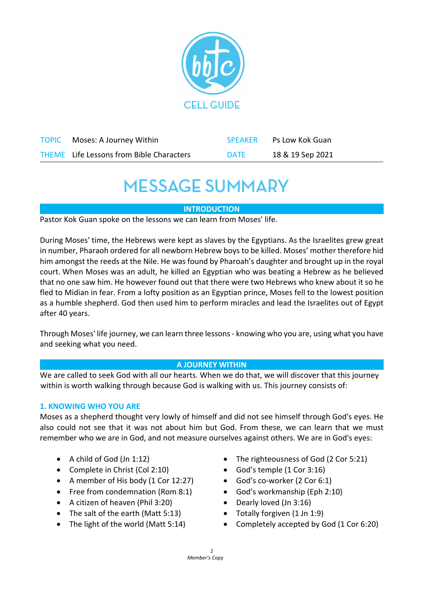

| <b>TOPIC</b> Moses: A Journey Within            | SPEAKER     | Ps Low Kok Guan  |
|-------------------------------------------------|-------------|------------------|
| <b>THEME</b> Life Lessons from Bible Characters | <b>DATE</b> | 18 & 19 Sep 2021 |

## **MESSAGE SUMMARY**

### **INTRODUCTION**

Pastor Kok Guan spoke on the lessons we can learn from Moses' life.

During Moses' time, the Hebrews were kept as slaves by the Egyptians. As the Israelites grew great in number, Pharaoh ordered for all newborn Hebrew boys to be killed. Moses' mother therefore hid him amongst the reeds at the Nile. He was found by Pharoah's daughter and brought up in the royal court. When Moses was an adult, he killed an Egyptian who was beating a Hebrew as he believed that no one saw him. He however found out that there were two Hebrews who knew about it so he fled to Midian in fear. From a lofty position as an Egyptian prince, Moses fell to the lowest position as a humble shepherd. God then used him to perform miracles and lead the Israelites out of Egypt after 40 years.

Through Moses' life journey, we can learn three lessons - knowing who you are, using what you have and seeking what you need.

#### **A JOURNEY WITHIN**

 We are called to seek God with all our hearts. When we do that, we will discover that this journey within is worth walking through because God is walking with us. This journey consists of:

#### **1. KNOWING WHO YOU ARE**

Moses as a shepherd thought very lowly of himself and did not see himself through God's eyes. He also could not see that it was not about him but God. From these, we can learn that we must remember who we are in God, and not measure ourselves against others. We are in God's eyes:

- A child of God (Jn 1:12)
- Complete in Christ (Col 2:10)
- A member of His body (1 Cor 12:27)
- Free from condemnation (Rom 8:1)
- A citizen of heaven (Phil 3:20)
- The salt of the earth (Matt 5:13)
- The light of the world (Matt 5:14)
- The righteousness of God (2 Cor 5:21)
- God's temple (1 Cor 3:16)
- God's co-worker (2 Cor 6:1)
- God's workmanship (Eph 2:10)
- Dearly loved (Jn 3:16)
- Totally forgiven (1 Jn 1:9)
- Completely accepted by God (1 Cor 6:20)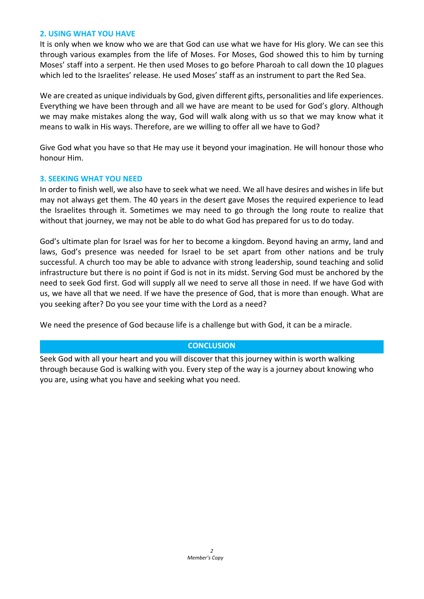#### **2. USING WHAT YOU HAVE**

It is only when we know who we are that God can use what we have for His glory. We can see this through various examples from the life of Moses. For Moses, God showed this to him by turning Moses' staff into a serpent. He then used Moses to go before Pharoah to call down the 10 plagues which led to the Israelites' release. He used Moses' staff as an instrument to part the Red Sea.

We are created as unique individuals by God, given different gifts, personalities and life experiences. Everything we have been through and all we have are meant to be used for God's glory. Although we may make mistakes along the way, God will walk along with us so that we may know what it means to walk in His ways. Therefore, are we willing to offer all we have to God?

Give God what you have so that He may use it beyond your imagination. He will honour those who honour Him.

#### **3. SEEKING WHAT YOU NEED**

In order to finish well, we also have to seek what we need. We all have desires and wishes in life but may not always get them. The 40 years in the desert gave Moses the required experience to lead the Israelites through it. Sometimes we may need to go through the long route to realize that without that journey, we may not be able to do what God has prepared for us to do today.

God's ultimate plan for Israel was for her to become a kingdom. Beyond having an army, land and laws, God's presence was needed for Israel to be set apart from other nations and be truly successful. A church too may be able to advance with strong leadership, sound teaching and solid infrastructure but there is no point if God is not in its midst. Serving God must be anchored by the need to seek God first. God will supply all we need to serve all those in need. If we have God with us, we have all that we need. If we have the presence of God, that is more than enough. What are you seeking after? Do you see your time with the Lord as a need?

We need the presence of God because life is a challenge but with God, it can be a miracle.

#### **CONCLUSION**

Seek God with all your heart and you will discover that this journey within is worth walking through because God is walking with you. Every step of the way is a journey about knowing who you are, using what you have and seeking what you need.